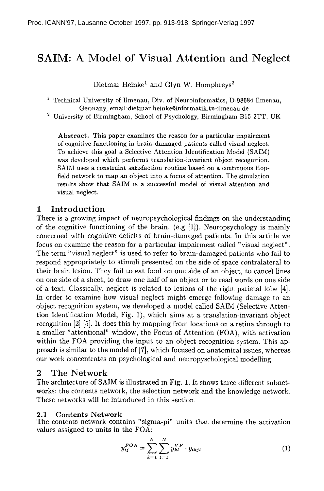# **SAIM: A Model of Visual Attention and Neglect**

Dietmar Heinke<sup>1</sup> and Glyn W. Humphreys<sup>2</sup>

<sup>1</sup> Technical University of Ilmenau, Div. of Neuroinformatics, D-98684 Ilmenau, Germany, email:dietmax.heinke©in formatik, tu-ilmenan.de

2 University of Birmingham, School of Psychology, Birmingham B15 2TT, UK

Abstract. This paper examines the reason for a particular impairment of cognitive functioning in brain-damaged patients called visual neglect. To achieve this goal a Selective Attention Identification Model (SAIM) was developed which performs translation-invariant object recognition. SAIM uses a constraint satisfaction routine based on a continuous Hopfield network to map an object into a focus of attention. The simulation results show that SAIM is a successful model of visual attention and visual neglect.

## 1 Introduction

There is a growing impact of neuropsychological findings on the understanding of the cognitive functioning of the brain. (e.g  $[1]$ ). Neuropsychology is mainly concerned with cognitive deficits of brain-damaged patients. In this article we focus on examine the reason for a particular impairment called "visual neglect". The term "visual neglect" is used to refer to brain-damaged patients who fail to respond appropriately to stimuli presented on the side of space contralateral to their brain lesion. They fail to eat food on one side of an object, to cancel lines on one side of a sheet, to draw one half of an object or to read words on one side of a text. Classically, neglect is related to lesions of the right parietal lobe [4]. In order to examine how visual neglect might emerge following damage to an object recognition system, we developed a model called SAIM (Selective Attention Identification Model, Fig. 1), which aims at a translation-invariant object recognition [2] [5]. It does this by mapping from locations on a retina through to a smaller "attentional" window, the Focus of Attention (FOA), with activation within the FOA providing the input to an object recognition system. This approach is similar to the model of [7], which focused on anatomical issues, whereas our work concentrates on psychological and neuropyschological modelling.

### 2 The Network

The architecture of SAIM is illustrated in Fig. 1. It shows three different subnetworks: the contents network, the selection network and the knowledge network. These networks will be introduced in this section.

### 2.1 Contents Network

The contents network contains "sigma-pi" units that determine the activation values assigned to units in the FOA:

$$
y_{ij}^{FOA} = \sum_{k=1}^{N} \sum_{l=1}^{N} y_{kl}^{VF} \cdot y_{ikjl}
$$
 (1)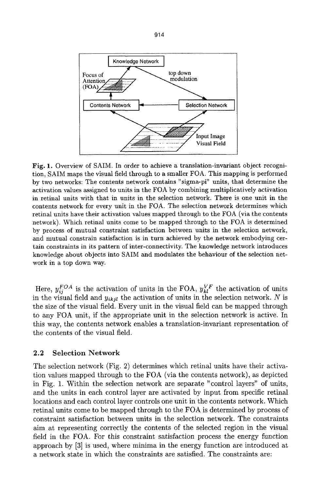

Fig. 1. Overview of SAIM. In order to achieve a translation-invariant object recognition, SAIM maps the visual field through to a smaller FOA. This mapping is performed by two networks: The contents network contains "sigma-pi" units, that determine the activation values assigned to units in the FOA by combining multiplicatively activation in retinal units with that in units in the selection network. There is one unit in the contents network for every unit in the FOA. The selection network determines which retinal units have their activation values mapped through to the FOA (via the contents network). Which retinal units come to be mapped through to the FOA is determined by process of mutual constraint satisfaction between units in the selection network, and mutual constrain satisfaction is in turn achieved by the network embodying certain constraints in its pattern of inter-connectivity. The knowledge network introduces knowledge about objects into SAIM and modulates the behaviour of the selection network in a top down way.

Here,  $y_{ii}^{FOA}$  is the activation of units in the FOA,  $y_{kl}^{VF}$  the activation of units in the visual field and  $y_{ikjl}$  the activation of units in the selection network. N is the size of the visual field. Every unit in the visual field can be mapped through to any FOA unit, if the appropriate unit in the selection network is active. In this way, the contents network enables a translation-invariant representation of the contents of the visual field.

### **2.2 Selection Network**

The selection network (Fig. 2) determines which retinal units have their activation values mapped through to the FOA (via the contents network), as depicted in Fig. 1. Within the selection network are separate "control layers" of units, and the units in each control layer are activated by input from specific retinal locations and each control layer controls one unit in the contents network. Which retinal units come to be mapped through to the FOA is determined by process of constraint satisfaction between units in the selection network. The constraints aim at representing correctly the contents of the selected region in the visual field in the FOA. For this constraint satisfaction process the energy function approach by [3] is used, where minima in the energy function are introduced at a network state in which the constraints are satisfied. The constraints are: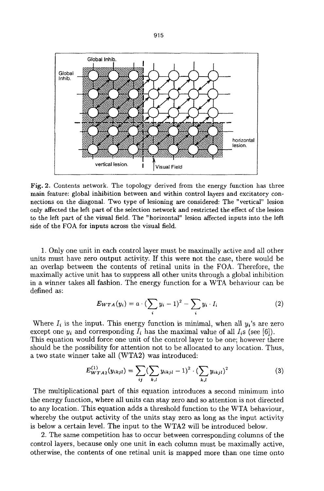

Fig. 2. Contents network. The topology derived from the energy function has three main feature: global inhibition between and within control layers and excitatory connections on the diagonal. Two type of lesioning are considered: The "vertical" lesion only affected the left part of the selection network and restricted the effect of the lesion to the left part of the visual field. The "horizontal" lesion affected inputs into the left side of the FOA for inputs across the visual field.

1. Only one unit in each control layer must be maximally active and all other units must have zero output activity. If this were not the case, there would be an overlap between the contents of retinal units in the FOA. Therefore, the maximally active unit has to suppress all other units through a global inhibition in a winner takes all fashion. The energy function for a WTA behaviour can be defined as:

$$
E_{WTA}(y_i) = a \cdot \left(\sum_i y_i - 1\right)^2 - \sum_i y_i \cdot I_i \tag{2}
$$

Where  $I_i$  is the input. This energy function is minimal, when all  $y_i$ 's are zero except one  $y_i$  and corresponding  $I_i$  has the maximal value of all  $I_i$ s (see [6]). This equation would force one unit of the control layer to be one; however there should be the possibility for attention not to be allocated to any location. Thus, a two state winner take all (WTA2) was introduced:

$$
E_{WTA2}^{(1)}(y_{ikjl}) = \sum_{ij} (\sum_{k,l} y_{ikjl} - 1)^2 \cdot (\sum_{k,l} y_{ikjl})^2
$$
 (3)

The multiplicational part of this equation introduces a second minimum into the energy function, where all units can stay zero and so attention is not directed to any location. This equation adds a threshold function to the WTA behaviour, whereby the output activity of the units stay zero as long as the input activity is below a certain level. The input to the WTA2 will be introduced below.

2. The same competition has to occur between corresponding columns of the control layers, because only one unit in each column must be maximally active, otherwise, the contents of one retinal unit is mapped more than one time onto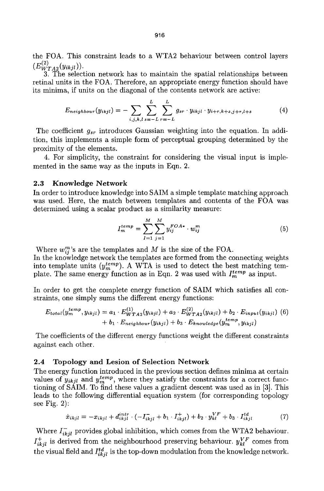the FOA. This constraint leads to a WTA2 behaviour between control layers  $(E_{WTA2}^{(2)}(y_{ikjl})).$ 

3. The selection network has to maintain the spatial relationships between retinal units in the FOA. Therefore, an appropriate energy function should have its minima, if units on the diagonal of the contents network are active:

$$
E_{neighbor}(y_{ikjl}) = -\sum_{i,j,k,l} \sum_{s=-L}^{L} \sum_{r=-L}^{L} g_{sr} \cdot y_{ikjl} \cdot y_{i+r,k+s,j+r,l+s} \tag{4}
$$

The coefficient  $g_{sr}$  introduces Gaussian weighting into the equation. In addition, this implements a simple form of perceptual grouping determined by the proximity of the elements.

4. For simplicity, the constraint for considering the visual input is implemented in the same way as the inputs in Eqn. 2.

#### 2.3 Knowledge Network

In order to introduce knowledge into SAIM a simple template matching approach was used. Here, the match between templates and contents of the FOA was determined using a scalar product as a similarity measure:

$$
I_m^{temp} = \sum_{I=1}^{M} \sum_{j=1}^{M} y_{ij}^{FOA*} \cdot w_{ij}^m
$$
 (5)

Where  $w_{ij}^m$ 's are the templates and M is the size of the FOA.

In the knowledge network the templates are formed from the connecting weights into template units  $(y_m^{temp})$ . A WTA is used to detect the best matching template. The same energy function as in Eqn. 2 was used with  $I_m^{temp}$  as input.

In order to get the complete energy function of SAIM which satisfies all constraints, one simply sums the different energy functions:

$$
E_{total}(y_m^{temp}, y_{ikjl}) = a_1 \cdot E_{WTA2}^{(1)}(y_{ikjl}) + a_2 \cdot E_{WTA2}^{(2)}(y_{ikjl}) + b_2 \cdot E_{input}(y_{ikjl}) \tag{6} + b_1 \cdot E_{neighbor}(y_{ikjl}) + b_3 \cdot E_{knowledge}(y_m^{temp}, y_{ikjl})
$$

The coefficients of the different energy functions weight the different constraints against each other.

### **2.4 Topology and Lesion of Selection Network**

The energy function introduced in the previous section defines minima at certain values of  $\tilde{y}_{ikjl}$  and  $y_m^{temp}$ , where they satisfy the constraints for a correct functioning of SAIM. To find these values a gradient descent was used as in [3]. This leads to the following differential equation system (for corresponding topology see Fig. 2):

$$
\dot{x}_{ikjl} = -x_{ikjl} + d_{ikjl}^{intr} \cdot (-I_{ikjl}^- + b_1 \cdot I_{ikjl}^+) + b_2 \cdot y_{kl}^{VF} + b_3 \cdot I_{ikjl}^{td} \tag{7}
$$

Where  $I_{ikjl}^-$  provides global inhibition, which comes from the WTA2 behaviour.  $I^{+}_{ikjl}$  is derived from the neighbourhood preserving behaviour.  $\boldsymbol{y}^{VF}_{kl}$  comes from the visual field and  $I_{ikjl}^{td}$  is the top-down modulation from the knowledge network.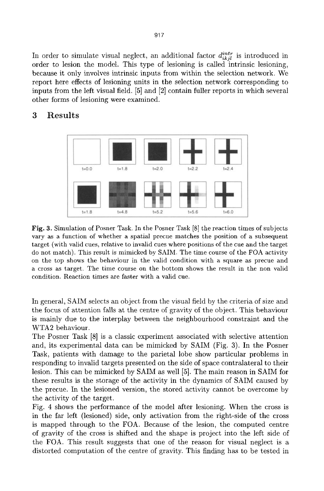In order to simulate visual neglect, an additional factor  $d_{ikjl}^{intr}$  is introduced in order to lesion the model. This type of lesioning is called intrinsic lesioning, because it only involves intrinsic inputs from within the selection network. We report here effects of lesioning units in the selection network corresponding to inputs from the left visual field. [5] and [2] contain fuller reports in which several other forms of lesioning were examined.

![](_page_4_Figure_1.jpeg)

# **3 Results**

Fig. 3. Simulation of Posner Task. In the Posner Task [8] the reaction times of subjects vary as a function of whether a spatial precue matches the position of a subsequent target (with valid cues, relative to invalid cues where positions of the cue and the target do not match). This result is mimicked by SAIM. The time course of the FOA activity on the top shows the behaviour in the valid condition with a square as precue and a cross as target. The time course on the bottom shows the result in the non valid condition. Reaction times are faster with a valid cue.

In general, SAIM selects an object from the visual field by the criteria of size and the focus of attention falls at the centre of gravity of the object. This behaviour is mainly due to the interplay between the neighbourhood constraint and the WTA2 behaviour.

The Posner Task [8] is a classic experiment associated with selective attention and, its experimental data can be mimicked by SAIM (Fig. 3). In the Posner Task, patients with damage to the parietal lobe show particular problems in responding to invalid targets presented on the side of space contralateral to their lesion. This can be mimicked by SAIM as well [5]. The main reason in SAIM for these results is the storage of the activity in the dynamics of SAIM caused by the precue. In the lesioned version, the stored activity cannot be overcome by the activity of the target.

Fig. 4 shows the performance of the model after lesioning. When the cross is in the far left (lesioned) side, only activation from the right-side of the cross is mapped through to the FOA. Because of the lesion, the computed centre of gravity of the cross is shifted and the shape is project into the left side of the FOA. This result suggests that one of the reason for visual neglect is a distorted computation of the centre of gravity. This finding has to be tested in